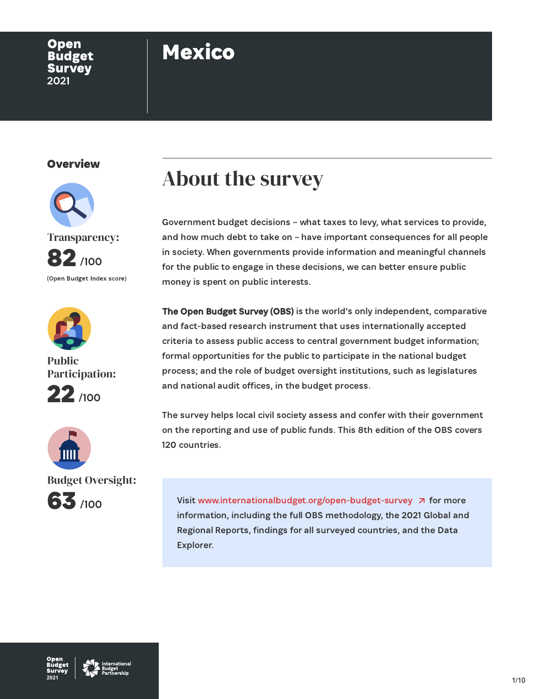#### Open **Budget Survey** 2021

## Mexico

#### **Overview**





Public Participation:





Budget Oversight:



### About the survey

Government budget decisions – what taxes to levy, what services to provide, and how much debt to take on – have important consequences for all people in society. When governments provide information and meaningful channels for the public to engage in these decisions, we can better ensure public money is spent on public interests.

The Open Budget Survey (OBS) is the world's only independent, comparative and fact-based research instrument that uses internationally accepted criteria to assess public access to central government budget information; formal opportunities for the public to participate in the national budget process; and the role of budget oversight institutions, such as legislatures and national audit offices, in the budget process.

The survey helps local civil society assess and confer with their government on the reporting and use of public funds. This 8th edition of the OBS covers 120 countries.

Visit [www.internationalbudget.org/open-budget-survey](http://www.openbudgetsurvey.org/)  $\overline{A}$  for more information, including the full OBS methodology, the 2021 Global and Regional Reports, findings for all surveyed countries, and the Data Explorer.

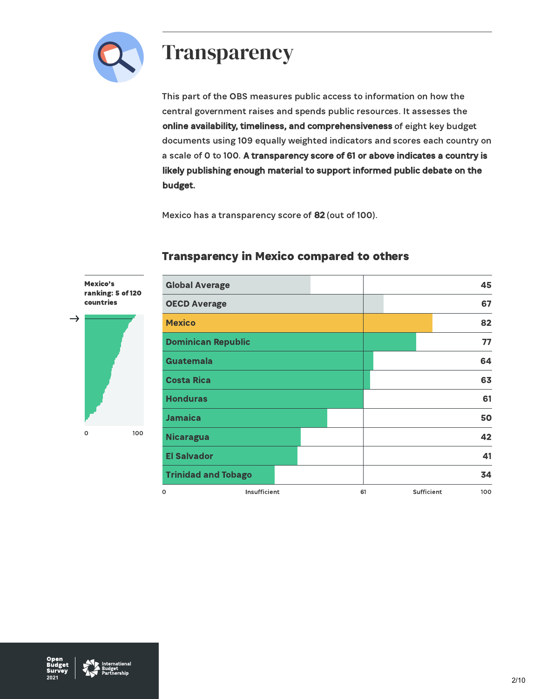

### **Transparency**

This part of the OBS measures public access to information on how the central government raises and spends public resources. It assesses the online availability, timeliness, and comprehensiveness of eight key budget documents using 109 equally weighted indicators and scores each country on a scale of 0 to 100. A transparency score of 61 or above indicates a country is likely publishing enough material to support informed public debate on the budget.

Mexico has a transparency score of 82 (out of 100).





#### Transparency in Mexico compared to others

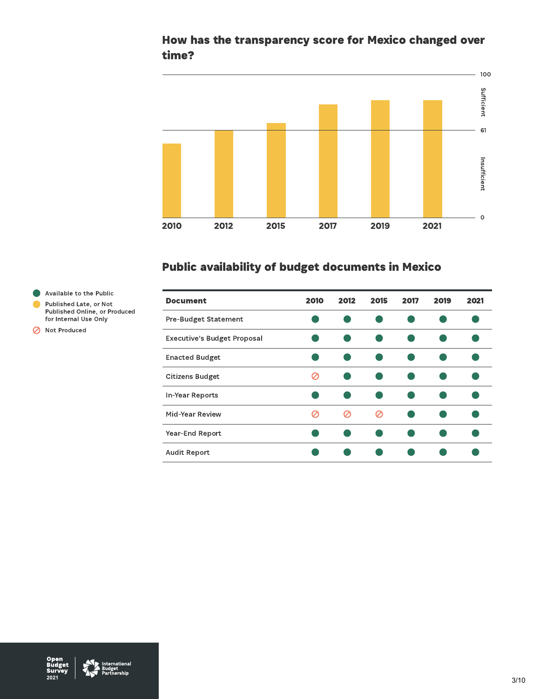#### How has the transparency score for Mexico changed over time?



### Public availability of budget documents in Mexico

| <b>Document</b>                    | 2010 | 2012 | 2015 | 2017 | 2019 | 2021 |
|------------------------------------|------|------|------|------|------|------|
| <b>Pre-Budget Statement</b>        |      |      |      |      |      |      |
| <b>Executive's Budget Proposal</b> |      |      |      |      |      |      |
| <b>Enacted Budget</b>              |      |      |      |      |      |      |
| <b>Citizens Budget</b>             | Ο    |      |      |      |      |      |
| In-Year Reports                    |      |      |      |      |      |      |
| Mid-Year Review                    |      | Ø    | Ø    |      |      |      |
| Year-End Report                    |      |      |      |      |      |      |
| <b>Audit Report</b>                |      |      |      |      |      |      |

Available to the Public Published Late, or Not Published Online, or Produced

for Internal Use Only Not Produced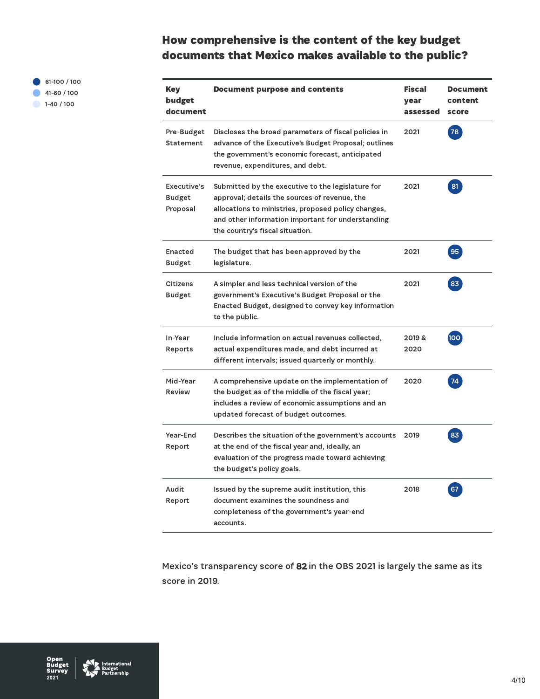### How comprehensive is the content of the key budget documents that Mexico makes available to the public?

61-100 / 100 41-60 / 100  $1-40/100$ 

| <b>Key</b><br>budget<br>document         | Document purpose and contents                                                                                                                                                                                                                     | <b>Fiscal</b><br>year<br>assessed | <b>Document</b><br>content<br>score |
|------------------------------------------|---------------------------------------------------------------------------------------------------------------------------------------------------------------------------------------------------------------------------------------------------|-----------------------------------|-------------------------------------|
| Pre-Budget<br>Statement                  | Discloses the broad parameters of fiscal policies in<br>advance of the Executive's Budget Proposal; outlines<br>the government's economic forecast, anticipated<br>revenue, expenditures, and debt.                                               | 2021                              | 78                                  |
| Executive's<br><b>Budget</b><br>Proposal | Submitted by the executive to the legislature for<br>approval; details the sources of revenue, the<br>allocations to ministries, proposed policy changes,<br>and other information important for understanding<br>the country's fiscal situation. | 2021                              | 81                                  |
| Enacted<br>Budget                        | The budget that has been approved by the<br>legislature.                                                                                                                                                                                          | 2021                              | 95                                  |
| Citizens<br><b>Budget</b>                | A simpler and less technical version of the<br>government's Executive's Budget Proposal or the<br>Enacted Budget, designed to convey key information<br>to the public.                                                                            | 2021                              | 83                                  |
| In-Year<br>Reports                       | Include information on actual revenues collected,<br>actual expenditures made, and debt incurred at<br>different intervals; issued quarterly or monthly.                                                                                          | 2019 &<br>2020                    | [100]                               |
| Mid-Year<br>Review                       | A comprehensive update on the implementation of<br>the budget as of the middle of the fiscal year;<br>includes a review of economic assumptions and an<br>updated forecast of budget outcomes.                                                    | 2020                              | 74                                  |
| Year-End<br>Report                       | Describes the situation of the government's accounts<br>at the end of the fiscal year and, ideally, an<br>evaluation of the progress made toward achieving<br>the budget's policy goals.                                                          | 2019                              | 83                                  |
| Audit<br>Report                          | Issued by the supreme audit institution, this<br>document examines the soundness and<br>completeness of the government's year-end<br>accounts.                                                                                                    | 2018                              | 67                                  |

Mexico's transparency score of 82 in the OBS 2021 is largely the same as its score in 2019.

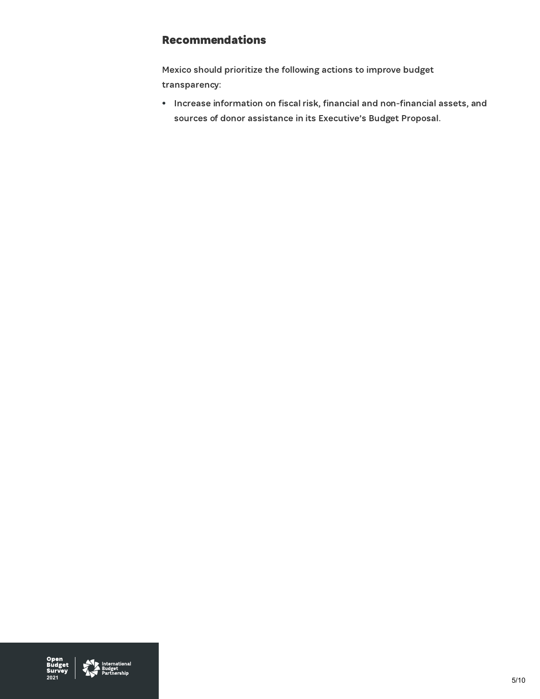#### Recommendations

Mexico should prioritize the following actions to improve budget transparency:

• Increase information on fiscal risk, financial and non-financial assets, and sources of donor assistance in its Executive's Budget Proposal.

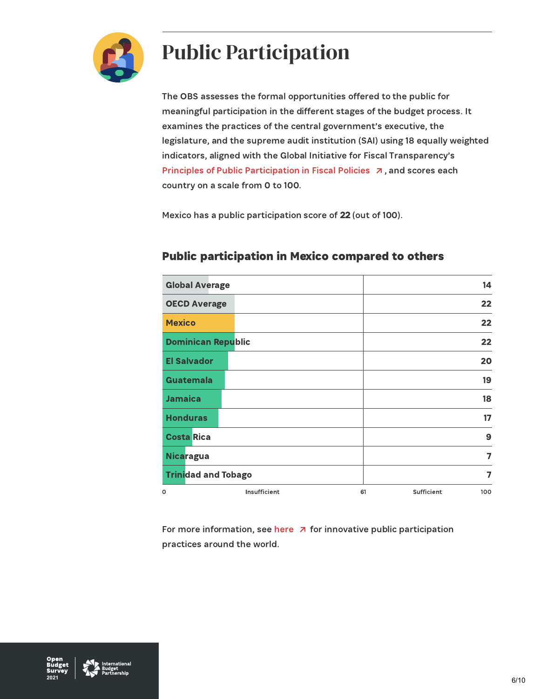

## Public Participation

The OBS assesses the formal opportunities offered to the public for meaningful participation in the different stages of the budget process. It examines the practices of the central government's executive, the legislature, and the supreme audit institution (SAI) using 18 equally weighted indicators, aligned with the Global Initiative for Fiscal Transparency's Principles of Public [Participation](https://fiscaltransparency.net/public-participation-principles-and-guide/) in Fiscal Policies  $\overline{a}$ , and scores each country on a scale from 0 to 100.

Mexico has a public participation score of 22 (out of 100).

| <b>Global Average</b>      |              |    |            | 14  |
|----------------------------|--------------|----|------------|-----|
| <b>OECD Average</b>        |              |    |            | 22  |
| <b>Mexico</b>              |              |    |            | 22  |
| <b>Dominican Republic</b>  |              |    |            | 22  |
| <b>El Salvador</b>         |              |    |            | 20  |
| <b>Guatemala</b>           |              |    |            | 19  |
| <b>Jamaica</b>             |              |    |            | 18  |
| <b>Honduras</b>            |              |    |            | 17  |
| <b>Costa Rica</b>          |              |    |            | 9   |
| <b>Nicaragua</b>           |              |    |            | 7   |
| <b>Trinidad and Tobago</b> |              |    |            | 7   |
| $\circ$                    | Insufficient | 61 | Sufficient | 100 |

#### Public participation in Mexico compared to others

For more information, see [here](https://www.fiscaltransparency.net/case-studies/)  $\overline{a}$  for innovative public participation practices around the world.

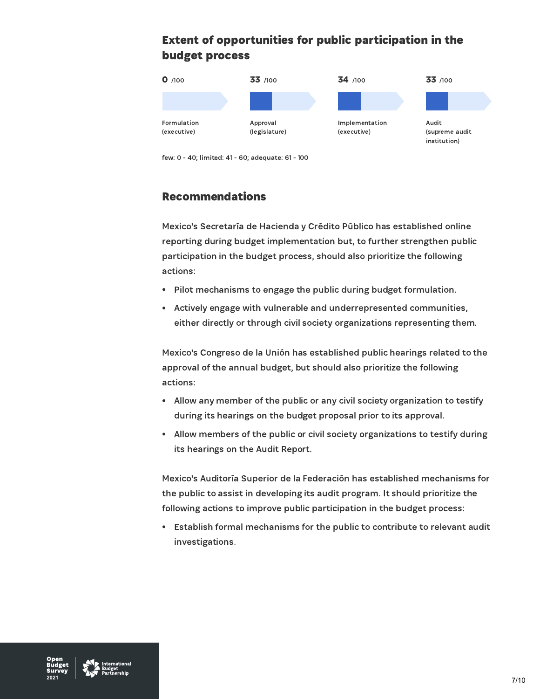### Extent of opportunities for public participation in the budget process



few: 0 - 40; limited: 41 - 60; adequate: 61 - 100

#### Recommendations

Mexico's Secretaría de Hacienda y Crédito Público has established online reporting during budget implementation but, to further strengthen public participation in the budget process, should also prioritize the following actions:

- Pilot mechanisms to engage the public during budget formulation.  $\bullet$
- Actively engage with vulnerable and underrepresented communities,  $\bullet$ either directly or through civil society organizations representing them.

Mexico's Congreso de la Unión has established public hearings related to the approval of the annual budget, but should also prioritize the following actions:

- Allow any member of the public or any civil society organization to testify during its hearings on the budget proposal prior to its approval.
- Allow members of the public or civil society organizations to testify during its hearings on the Audit Report.

Mexico's Auditoría Superior de la Federación has established mechanisms for the public to assist in developing its audit program. It should prioritize the following actions to improve public participation in the budget process:

Establish formal mechanisms for the public to contribute to relevant audit investigations.

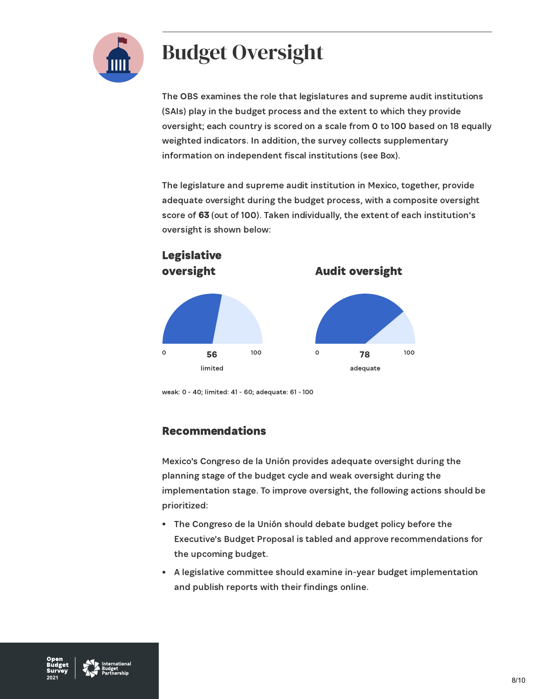

# Budget Oversight

The OBS examines the role that legislatures and supreme audit institutions (SAIs) play in the budget process and the extent to which they provide oversight; each country is scored on a scale from 0 to 100 based on 18 equally weighted indicators. In addition, the survey collects supplementary information on independent fiscal institutions (see Box).

The legislature and supreme audit institution in Mexico, together, provide adequate oversight during the budget process, with a composite oversight score of 63 (out of 100). Taken individually, the extent of each institution's oversight is shown below:



weak: 0 - 40; limited: 41 - 60; adequate: 61 - 100

#### Recommendations

Mexico's Congreso de la Unión provides adequate oversight during the planning stage of the budget cycle and weak oversight during the implementation stage. To improve oversight, the following actions should be prioritized:

- The Congreso de la Unión should debate budget policy before the Executive's Budget Proposal is tabled and approve recommendations for the upcoming budget.
- A legislative committee should examine in-year budget implementation  $\bullet$ and publish reports with their findings online.

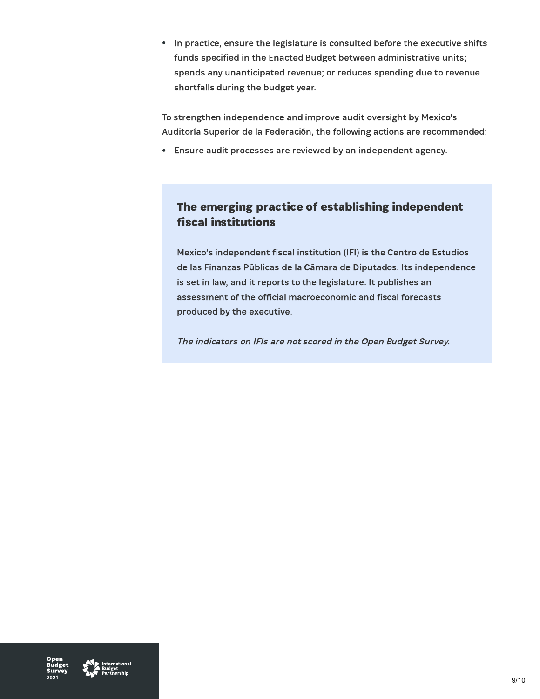• In practice, ensure the legislature is consulted before the executive shifts funds specified in the Enacted Budget between administrative units; spends any unanticipated revenue; or reduces spending due to revenue shortfalls during the budget year.

To strengthen independence and improve audit oversight by Mexico's Auditoría Superior de la Federación, the following actions are recommended:

Ensure audit processes are reviewed by an independent agency.

#### The emerging practice of establishing independent fiscal institutions

Mexico's independent fiscal institution (IFI) is the Centro de Estudios de las Finanzas Públicas de la Cámara de Diputados. Its independence is set in law, and it reports to the legislature. It publishes an assessment of the official macroeconomic and fiscal forecasts produced by the executive.

The indicators on IFIs are not scored in the Open Budget Survey.